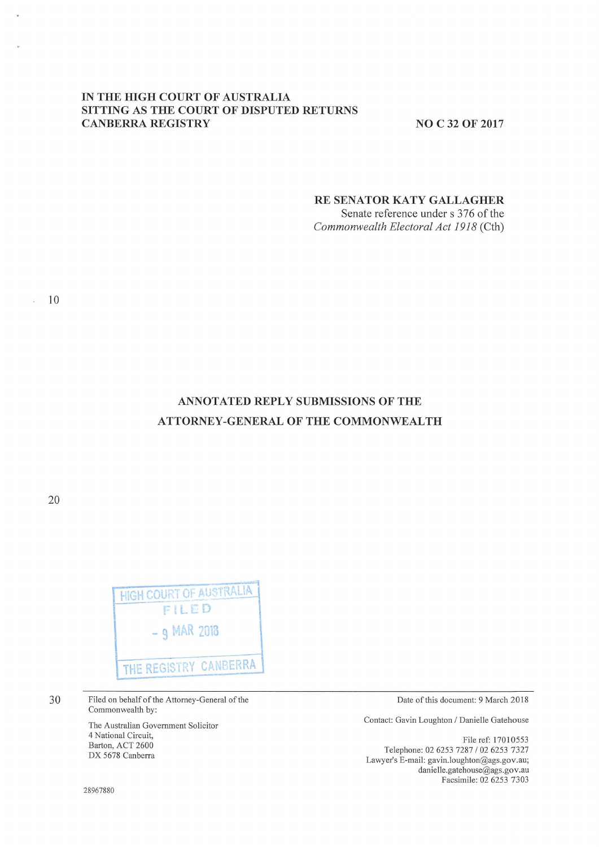## IN THE HIGH COURT OF AUSTRALIA **SITTING AS THE COURT OF DISPUTED RETURNS CANBERRA REGISTRY** NO C 32 OF 2017

## **RE SENATOR KATY GALLAGHER**

Senate reference under s 376 of the *Commonwealth Electoral Act 1918* (Cth)

# **ANNOTATED REPLY SUBMISSIONS OF THE ATTORNEY -GENERAL OF THE COMMONWEALTH**

20



30

Filed on behalf of the Attorney-General of the Commonwealth by:

The Australian Government Solicitor 4 National Circuit, Barton, ACT 2600 DX 5678 Canberra

Date of this document: 9 March 2018

Contact: Gavin Loughton / Danielle Gatehouse

File ref: 17010553 Telephone: 02 6253 7287 / 02 6253 7327 Lawyer's E-mail: gavin.loughton@ags.gov.au; danielle.gatehouse@ags.gov.au Facsimile: 02 6253 7303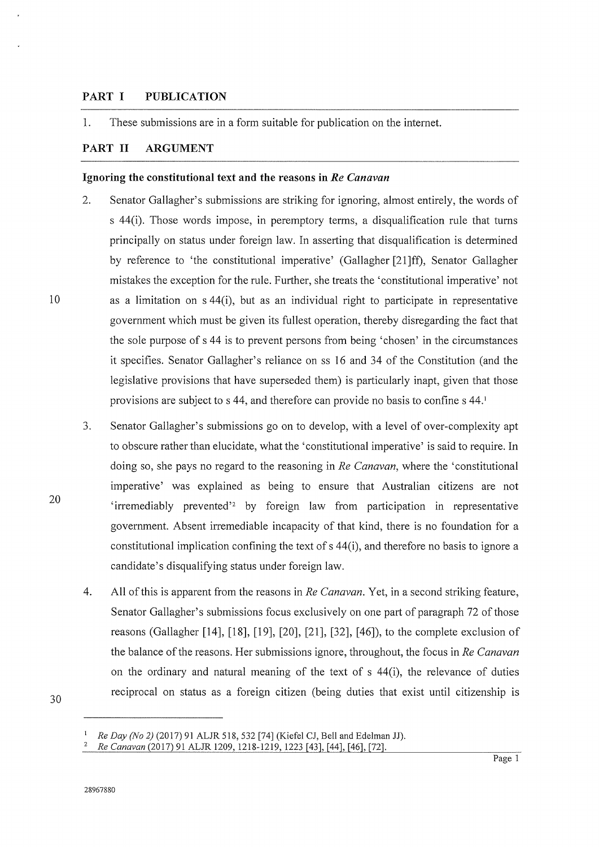#### **PART I PUBLICATION**

1. These submissions are in a form suitable for publication on the internet.

### **PART II ARGUMENT**

10

20

30

#### **Ignoring the constitutional text and the reasons in** *Re Canavan*

- 2. Senator Gallagher's submissions are striking for ignoring, almost entirely, the words of s 44(i). Those words impose, in peremptory terms, a disqualification rule that turns principally on status under foreign law. In asserting that disqualification is determined by reference to 'the constitutional imperative' (Gallagher [21]ff), Senator Gallagher mistakes the exception for the rule. Further, she treats the 'constitutional imperative' not as a limitation on s 44(i), but as an individual right to participate in representative government which must be given its fullest operation, thereby disregarding the fact that the sole purpose of s 44 is to prevent persons from being 'chosen' in the circumstances it specifies. Senator Gallagher's reliance on ss 16 and 34 of the Constitution (and the legislative provisions that have superseded them) is particularly inapt, given that those provisions are subject to s 44, and therefore can provide no basis to confine s 44. <sup>1</sup>
- 3. Senator Gallagher's submissions go on to develop, with a level of over-complexity apt to obscure rather than elucidate, what the 'constitutional imperative' is said to require. In doing so, she pays no regard to the reasoning in *Re Canavan,* where the 'constitutional imperative' was explained as being to ensure that Australian citizens are not 'irremediably prevented'<sup>2</sup> by foreign law from participation in representative government. Absent irremediable incapacity of that kind, there is no foundation for a constitutional implication confining the text of s 44(i), and therefore no basis to ignore a candidate's disqualifying status under foreign law.
- 4. All of this is apparent from the reasons in *Re Canavan.* Yet, in a second striking feature, Senator Gallagher's submissions focus exclusively on one part of paragraph 72 of those reasons (Gallagher [14], [18], [19], [20], [21], [32], [46]), to the complete exclusion of the balance of the reasons. Her submissions ignore, throughout, the focus in *Re Canavan*  on the ordinary and natural meaning of the text of s 44(i), the relevance of duties reciprocal on status as a foreign citizen (being duties that exist until citizenship is

<sup>1</sup> *Re Day (No 2)* (2017) 91 ALJR 518, 532 [74] (Kiefel CJ, Bell and Edelman JJ).

<sup>2</sup>*Re Canavan* (2017) 91 ALJR 1209, 1218-1219, 1223 [43], [44], [46], [72].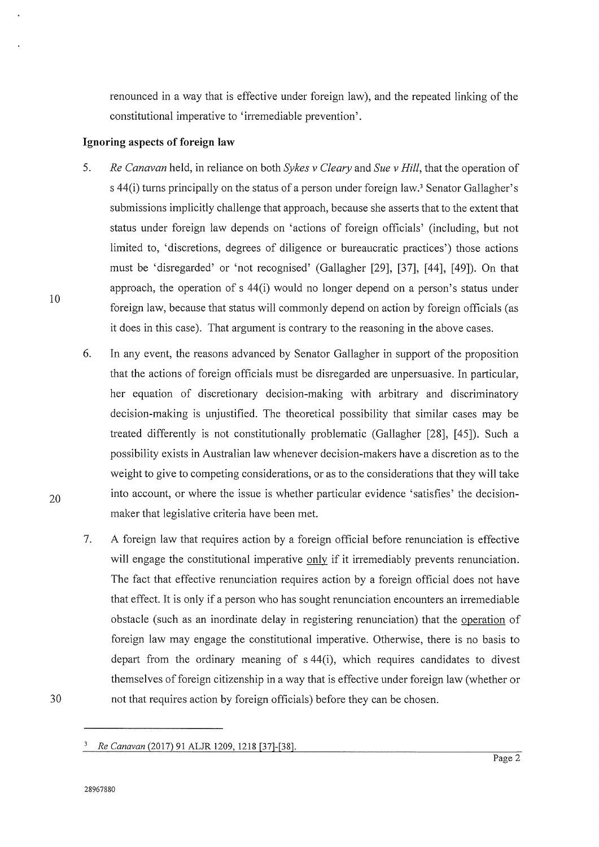renounced in a way that is effective under foreign law), and the repeated linking of the constitutional imperative to 'irremediable prevention'.

#### **Ignoring aspects of foreign law**

- 5. *Re Canavan* held, in reliance on both *Sykes v Cleary* and *Sue v Hill,* that the operation of s 44(i) turns principally on the status of a person under foreign law.<sup>3</sup> Senator Gallagher's submissions implicitly challenge that approach, because she asserts that to the extent that status under foreign law depends on 'actions of foreign officials' (including, but not limited to, 'discretions, degrees of diligence or bureaucratic practices') those actions must be 'disregarded' or 'not recognised' (Gallagher [29], [37], [44], [49]). On that approach, the operation of s 44(i) would no longer depend on a person's status under foreign law, because that status will commonly depend on action by foreign officials (as it does in this case). That argument is contrary to the reasoning in the above cases.
- 6. In any event, the reasons advanced by Senator Gallagher in support of the proposition that the actions of foreign officials must be disregarded are unpersuasive. In particular, her equation of discretionary decision-making with arbitrary and discriminatory decision-making is unjustified. The theoretical possibility that similar cases may be treated differently is not constitutionally problematic (Gallagher [28], [45]). Such a possibility exists in Australian law whenever decision-makers have a discretion as to the weight to give to competing considerations, or as to the considerations that they will take into account, or where the issue is whether particular evidence 'satisfies' the decisionmaker that legislative criteria have been met.
- 7. A foreign law that requires action by a foreign official before renunciation is effective will engage the constitutional imperative only if it irremediably prevents renunciation. The fact that effective renunciation requires action by a foreign official does not have that effect. It is only if a person who has sought renunciation encounters an irremediable obstacle (such as an inordinate delay in registering renunciation) that the operation of foreign law may engage the constitutional imperative. Otherwise, there is no basis to depart from the ordinary meaning of s 44(i), which requires candidates to divest themselves of foreign citizenship in a way that is effective under foreign law (whether or not that requires action by foreign officials) before they can be chosen.

10

20

<sup>3</sup>*Re Canavan* (2017) 91 ALJR 1209, 1218 [37]-[38].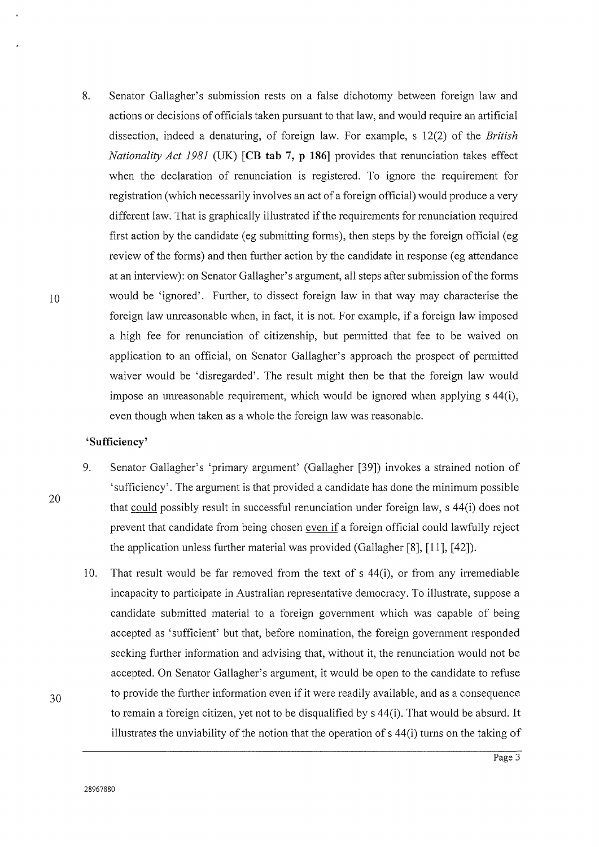8. Senator Gallagher' s submission rests on a false dichotomy between foreign law and actions or decisions of officials taken pursuant to that law, and would require an artificial dissection, indeed a denaturing, of foreign law. For example, s 12(2) of the *British Nationality Act 1981* (UK) **[CB tab 7, p 186]** provides that renunciation takes effect when the declaration of renunciation is registered. To ignore the requirement for registration (which necessarily involves an act of a foreign official) would produce a very different law. That is graphically illustrated if the requirements for renunciation required first action by the candidate ( eg submitting forms), then steps by the foreign official ( eg review of the forms) and then further action by the candidate in response (eg attendance at an interview): on Senator Gallagher's argument, all steps after submission of the forms would be 'ignored'. Further, to dissect foreign law in that way may characterise the foreign law unreasonable when, in fact, it is not. For example, if a foreign law imposed a high fee for renunciation of citizenship, but permitted that fee to be waived on application to an official, on Senator Gallagher's approach the prospect of permitted waiver would be 'disregarded'. The result might then be that the foreign law would impose an unreasonable requirement, which would be ignored when applying s 44(i), even though when taken as a whole the foreign law was reasonable.

### **'Sufficiency'**

- 9. Senator Gallagher's 'primary argument' (Gallagher [39]) invokes a strained notion of 'sufficiency'. The argument is that provided a candidate has done the minimum possible that could possibly result in successful renunciation under foreign law, s 44(i) does not prevent that candidate from being chosen even if a foreign official could lawfully reject the application unless further material was provided (Gallagher [8], [11 ], [ 42]).
- 10. That result would be far removed from the text of s 44(i), or from any irremediable incapacity to participate in Australian representative democracy. To illustrate, suppose a candidate submitted material to a foreign government which was capable of being accepted as 'sufficient' but that, before nomination, the foreign government responded seeking further information and advising that, without it, the renunciation would not be accepted. On Senator Gallagher's argument, it would be open to the candidate to refuse to provide the further information even if it were readily available, and as a consequence to remain a foreign citizen, yet not to be disqualified by s 44(i). That would be absurd. It illustrates the unviability of the notion that the operation of s 44(i) turns on the taking of

20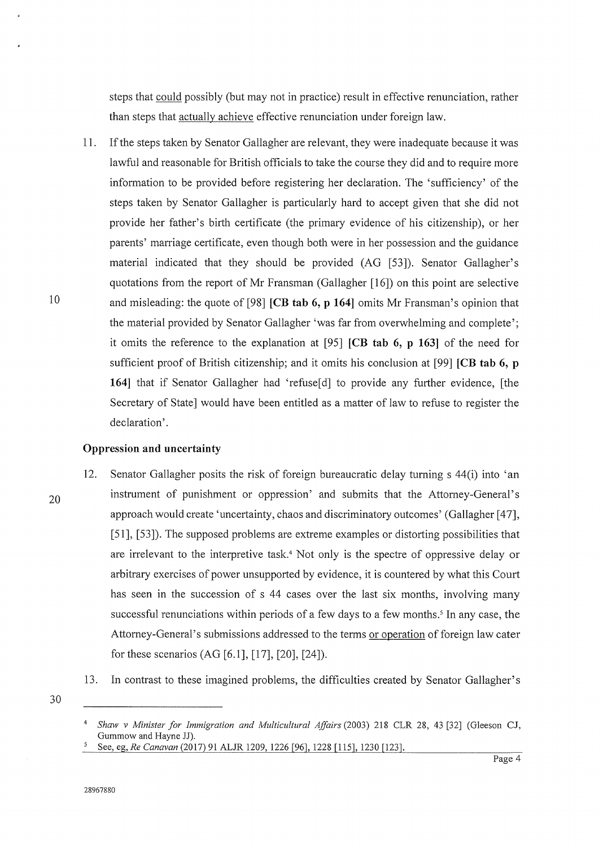steps that could possibly (but may not in practice) result in effective renunciation, rather than steps that actually achieve effective renunciation under foreign law.

11. If the steps taken by Senator Gallagher are relevant, they were inadequate because it was lawful and reasonable for British officials to take the course they did and to require more information to be provided before registering her declaration. The 'sufficiency' of the steps taken by Senator Gallagher is particularly hard to accept given that she did not provide her father's birth certificate (the primary evidence of his citizenship), or her parents' marriage certificate, even though both were in her possession and the guidance material indicated that they should be provided (AG [53]). Senator Gallagher's quotations from the report of Mr Fransman (Gallagher [16]) on this point are selective and misleading: the quote of [98] **[CB tab 6, p 164]** omits Mr Fransman's opinion that the material provided by Senator Gallagher 'was far from overwhelming and complete'; it omits the reference to the explanation at [95] **[CB tab 6, p 163]** of the need for sufficient proof of British citizenship; and it omits his conclusion at [99] **[CB tab 6, p 164]** that if Senator Gallagher had 'refuse[d] to provide any further evidence, [the Secretary of State] would have been entitled as a matter of law to refuse to register the declaration'.

#### **Oppression and uncertainty**

20

- 12. Senator Gallagher posits the risk of foreign bureaucratic delay turning s 44(i) into 'an instrument of punishment or oppression' and submits that the Attorney-General's approach would create 'uncertainty, chaos and discriminatory outcomes' (Gallagher [47], [51], [53]). The supposed problems are extreme examples or distorting possibilities that are irrelevant to the interpretive task.<sup>4</sup> Not only is the spectre of oppressive delay or arbitrary exercises of power unsupported by evidence, it is countered by what this Court has seen in the succession of s 44 cases over the last six months, involving many successful renunciations within periods of a few days to a few months.<sup>5</sup> In any case, the Attorney-General's submissions addressed to the terms or operation of foreign law cater for these scenarios (AG [6.1], [17], [20], [24]).
- 13. In contrast to these imagined problems, the difficulties created by Senator Gallagher's
- 30

<sup>4</sup>*Shaw v Minister for Immigration and Multicultural Affairs* (2003) 218 CLR 28, 43 [32] (Gleeson CJ,

See, eg, *Re Canavan* (2017) 91 ALJR 1209, 1226 [96], 1228 [115], 1230 [123].